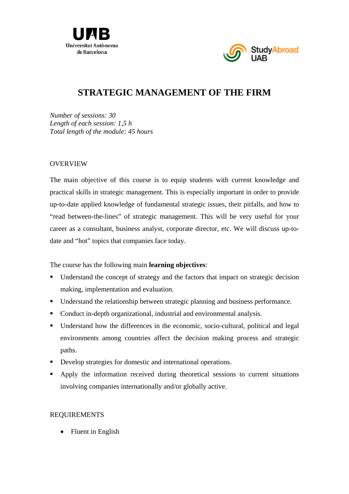



# **STRATEGIC MANAGEMENT OF THE FIRM**

*Number of sessions: 30 Length of each session: 1,5 h Total length of the module: 45 hours* 

#### OVERVIEW

The main objective of this course is to equip students with current knowledge and practical skills in strategic management. This is especially important in order to provide up-to-date applied knowledge of fundamental strategic issues, their pitfalls, and how to "read between-the-lines" of strategic management. This will be very useful for your career as a consultant, business analyst, corporate director, etc. We will discuss up-todate and "hot" topics that companies face today.

The course has the following main **learning objectives**:

- Understand the concept of strategy and the factors that impact on strategic decision making, implementation and evaluation.
- Understand the relationship between strategic planning and business performance.
- Conduct in-depth organizational, industrial and environmental analysis.
- Understand how the differences in the economic, socio-cultural, political and legal environments among countries affect the decision making process and strategic paths.
- Develop strategies for domestic and international operations.
- Apply the information received during theoretical sessions to current situations involving companies internationally and/or globally active.

# REQUIREMENTS

• Fluent in English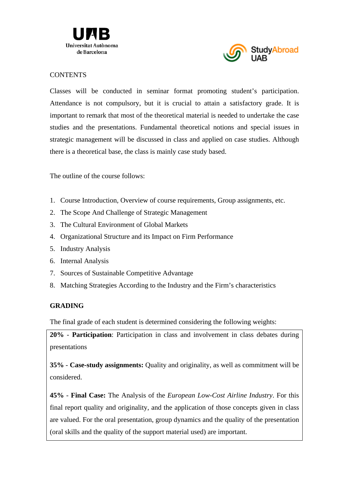



### **CONTENTS**

Classes will be conducted in seminar format promoting student's participation. Attendance is not compulsory, but it is crucial to attain a satisfactory grade. It is important to remark that most of the theoretical material is needed to undertake the case studies and the presentations. Fundamental theoretical notions and special issues in strategic management will be discussed in class and applied on case studies. Although there is a theoretical base, the class is mainly case study based.

The outline of the course follows:

- 1. Course Introduction, Overview of course requirements, Group assignments, etc.
- 2. The Scope And Challenge of Strategic Management
- 3. The Cultural Environment of Global Markets
- 4. Organizational Structure and its Impact on Firm Performance
- 5. Industry Analysis
- 6. Internal Analysis
- 7. Sources of Sustainable Competitive Advantage
- 8. Matching Strategies According to the Industry and the Firm's characteristics

# **GRADING**

The final grade of each student is determined considering the following weights:

**20%** - **Participation**: Participation in class and involvement in class debates during presentations

**35%** - **Case-study assignments:** Quality and originality, as well as commitment will be considered.

**45%** - **Final Case:** The Analysis of the *European Low-Cost Airline Industry*. For this final report quality and originality, and the application of those concepts given in class are valued. For the oral presentation, group dynamics and the quality of the presentation (oral skills and the quality of the support material used) are important.